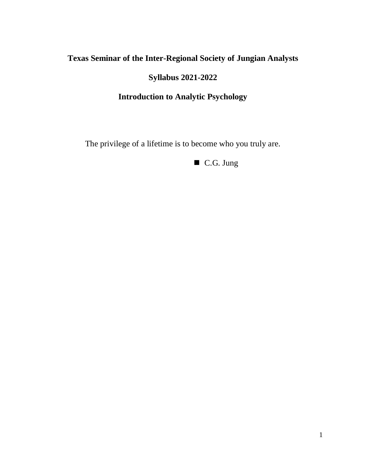# **Texas Seminar of the Inter-Regional Society of Jungian Analysts**

# **Syllabus 2021-2022**

# **Introduction to Analytic Psychology**

The privilege of a lifetime is to become who you truly are.

 $\blacksquare$  C.G. Jung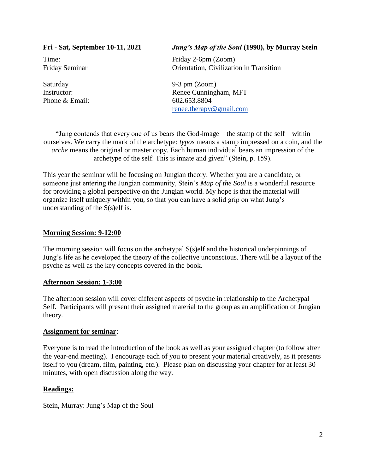Saturday 9-3 pm (Zoom) Phone & Email: 602.653.8804

# **Fri - Sat, September 10-11, 2021** *Jung's Map of the Soul* **(1998), by Murray Stein**

Time: Friday 2-6pm (Zoom) Friday Seminar **Orientation**, Civilization in Transition

Instructor: Renee Cunningham, MFT [renee.therapy@gmail.com](mailto:renee.therapy@gmail.com)

"Jung contends that every one of us bears the God-image—the stamp of the self—within ourselves. We carry the mark of the archetype: *typos* means a stamp impressed on a coin, and the *arche* means the original or master copy. Each human individual bears an impression of the archetype of the self. This is innate and given" (Stein, p. 159).

This year the seminar will be focusing on Jungian theory. Whether you are a candidate, or someone just entering the Jungian community, Stein's *Map of the Soul* is a wonderful resource for providing a global perspective on the Jungian world. My hope is that the material will organize itself uniquely within you, so that you can have a solid grip on what Jung's understanding of the S(s)elf is.

### **Morning Session: 9-12:00**

The morning session will focus on the archetypal S(s)elf and the historical underpinnings of Jung's life as he developed the theory of the collective unconscious. There will be a layout of the psyche as well as the key concepts covered in the book.

#### **Afternoon Session: 1-3:00**

The afternoon session will cover different aspects of psyche in relationship to the Archetypal Self. Participants will present their assigned material to the group as an amplification of Jungian theory.

#### **Assignment for seminar**:

Everyone is to read the introduction of the book as well as your assigned chapter (to follow after the year-end meeting). I encourage each of you to present your material creatively, as it presents itself to you (dream, film, painting, etc.). Please plan on discussing your chapter for at least 30 minutes, with open discussion along the way.

### **Readings:**

Stein, Murray: Jung's Map of the Soul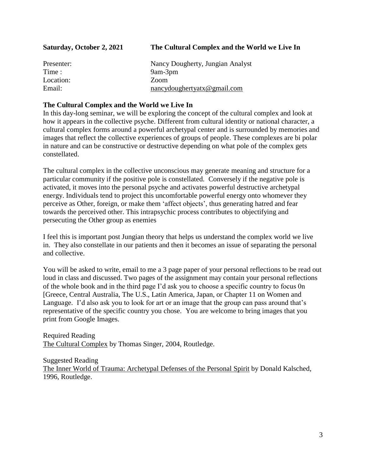**Saturday, October 2, 2021 The Cultural Complex and the World we Live In**

| Presenter: | Nancy Dougherty, Jungian Analyst |
|------------|----------------------------------|
| Time:      | 9am-3pm                          |
| Location:  | Zoom                             |
| Email:     | nancydoughertyatx@gmail.com      |

# **The Cultural Complex and the World we Live In**

In this day-long seminar, we will be exploring the concept of the cultural complex and look at how it appears in the collective psyche. Different from cultural identity or national character, a cultural complex forms around a powerful archetypal center and is surrounded by memories and images that reflect the collective experiences of groups of people. These complexes are bi polar in nature and can be constructive or destructive depending on what pole of the complex gets constellated.

The cultural complex in the collective unconscious may generate meaning and structure for a particular community if the positive pole is constellated. Conversely if the negative pole is activated, it moves into the personal psyche and activates powerful destructive archetypal energy. Individuals tend to project this uncomfortable powerful energy onto whomever they perceive as Other, foreign, or make them 'affect objects', thus generating hatred and fear towards the perceived other. This intrapsychic process contributes to objectifying and persecuting the Other group as enemies

I feel this is important post Jungian theory that helps us understand the complex world we live in. They also constellate in our patients and then it becomes an issue of separating the personal and collective.

You will be asked to write, email to me a 3 page paper of your personal reflections to be read out loud in class and discussed. Two pages of the assignment may contain your personal reflections of the whole book and in the third page I'd ask you to choose a specific country to focus 0n [Greece, Central Australia, The U.S., Latin America, Japan, or Chapter 11 on Women and Language. I'd also ask you to look for art or an image that the group can pass around that's representative of the specific country you chose. You are welcome to bring images that you print from Google Images.

Required Reading The Cultural Complex by Thomas Singer, 2004, Routledge.

Suggested Reading The Inner World of Trauma: Archetypal Defenses of the Personal Spirit by Donald Kalsched, 1996, Routledge.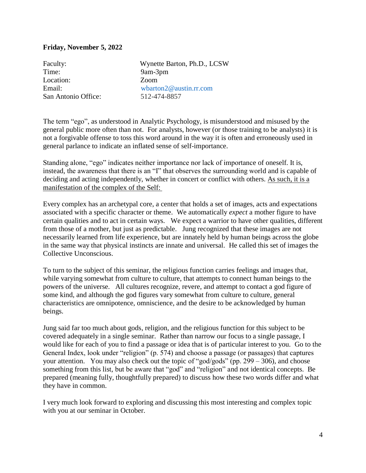## **Friday, November 5, 2022**

| Faculty:            |  |
|---------------------|--|
| Time:               |  |
| Location:           |  |
| Email:              |  |
| San Antonio Office: |  |

Wynette Barton, Ph.D., LCSW 9am-3pm Zoom Email: [wbarton2@austin.rr.com](mailto:wbarton2@austin.rr.com) 512-474-8857

The term "ego", as understood in Analytic Psychology, is misunderstood and misused by the general public more often than not. For analysts, however (or those training to be analysts) it is not a forgivable offense to toss this word around in the way it is often and erroneously used in general parlance to indicate an inflated sense of self-importance.

Standing alone, "ego" indicates neither importance nor lack of importance of oneself. It is, instead, the awareness that there is an "I" that observes the surrounding world and is capable of deciding and acting independently, whether in concert or conflict with others. As such, it is a manifestation of the complex of the Self:

Every complex has an archetypal core, a center that holds a set of images, acts and expectations associated with a specific character or theme. We automatically *expect* a mother figure to have certain qualities and to act in certain ways. We expect a warrior to have other qualities, different from those of a mother, but just as predictable. Jung recognized that these images are not necessarily learned from life experience, but are innately held by human beings across the globe in the same way that physical instincts are innate and universal. He called this set of images the Collective Unconscious.

To turn to the subject of this seminar, the religious function carries feelings and images that, while varying somewhat from culture to culture, that attempts to connect human beings to the powers of the universe. All cultures recognize, revere, and attempt to contact a god figure of some kind, and although the god figures vary somewhat from culture to culture, general characteristics are omnipotence, omniscience, and the desire to be acknowledged by human beings.

Jung said far too much about gods, religion, and the religious function for this subject to be covered adequately in a single seminar. Rather than narrow our focus to a single passage, I would like for each of you to find a passage or idea that is of particular interest to you. Go to the General Index, look under "religion" (p. 574) and choose a passage (or passages) that captures your attention. You may also check out the topic of "god/gods" (pp. 299 – 306), and choose something from this list, but be aware that "god" and "religion" and not identical concepts. Be prepared (meaning fully, thoughtfully prepared) to discuss how these two words differ and what they have in common.

I very much look forward to exploring and discussing this most interesting and complex topic with you at our seminar in October.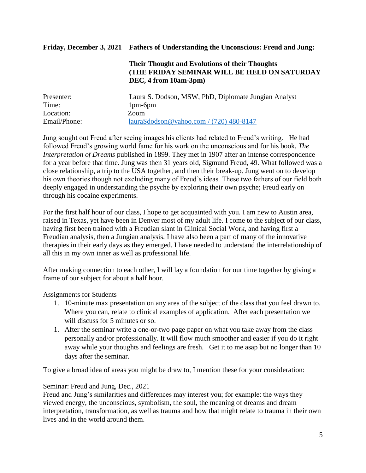# **Friday, December 3, 2021 Fathers of Understanding the Unconscious: Freud and Jung:**

# **Their Thought and Evolutions of their Thoughts (THE FRIDAY SEMINAR WILL BE HELD ON SATURDAY DEC, 4 from 10am-3pm)**

| Presenter:   | Laura S. Dodson, MSW, PhD, Diplomate Jungian Analyst |
|--------------|------------------------------------------------------|
| Time:        | $1pm-6pm$                                            |
| Location:    | Zoom                                                 |
| Email/Phone: | $lauraSdodson@yahoo.com / (720) 480-8147$            |

Jung sought out Freud after seeing images his clients had related to Freud's writing. He had followed Freud's growing world fame for his work on the unconscious and for his book, *The Interpretation of Dreams* published in 1899. They met in 1907 after an intense correspondence for a year before that time. Jung was then 31 years old, Sigmund Freud, 49. What followed was a close relationship, a trip to the USA together, and then their break-up. Jung went on to develop his own theories though not excluding many of Freud's ideas. These two fathers of our field both deeply engaged in understanding the psyche by exploring their own psyche; Freud early on through his cocaine experiments.

For the first half hour of our class, I hope to get acquainted with you. I am new to Austin area, raised in Texas, yet have been in Denver most of my adult life. I come to the subject of our class, having first been trained with a Freudian slant in Clinical Social Work, and having first a Freudian analysis, then a Jungian analysis. I have also been a part of many of the innovative therapies in their early days as they emerged. I have needed to understand the interrelationship of all this in my own inner as well as professional life.

After making connection to each other, I will lay a foundation for our time together by giving a frame of our subject for about a half hour.

Assignments for Students

- 1. 10-minute max presentation on any area of the subject of the class that you feel drawn to. Where you can, relate to clinical examples of application. After each presentation we will discuss for 5 minutes or so.
- 1. After the seminar write a one-or-two page paper on what you take away from the class personally and/or professionally. It will flow much smoother and easier if you do it right away while your thoughts and feelings are fresh. Get it to me asap but no longer than 10 days after the seminar.

To give a broad idea of areas you might be draw to, I mention these for your consideration:

# Seminar: Freud and Jung, Dec., 2021

Freud and Jung's similarities and differences may interest you; for example: the ways they viewed energy, the unconscious, symbolism, the soul, the meaning of dreams and dream interpretation, transformation, as well as trauma and how that might relate to trauma in their own lives and in the world around them.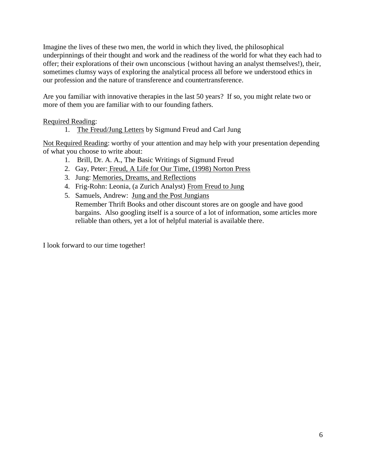Imagine the lives of these two men, the world in which they lived, the philosophical underpinnings of their thought and work and the readiness of the world for what they each had to offer; their explorations of their own unconscious {without having an analyst themselves!), their, sometimes clumsy ways of exploring the analytical process all before we understood ethics in our profession and the nature of transference and countertransference.

Are you familiar with innovative therapies in the last 50 years? If so, you might relate two or more of them you are familiar with to our founding fathers.

# Required Reading:

1. The Freud/Jung Letters by Sigmund Freud and Carl Jung

Not Required Reading: worthy of your attention and may help with your presentation depending of what you choose to write about:

- 1. Brill, Dr. A. A., The Basic Writings of Sigmund Freud
- 2. Gay, Peter: Freud, A Life for Our Time, (1998) Norton Press
- 3. Jung: Memories, Dreams, and Reflections
- 4. Frig-Rohn: Leonia, (a Zurich Analyst) From Freud to Jung
- 5. Samuels, Andrew: Jung and the Post Jungians Remember Thrift Books and other discount stores are on google and have good bargains. Also googling itself is a source of a lot of information, some articles more reliable than others, yet a lot of helpful material is available there.

I look forward to our time together!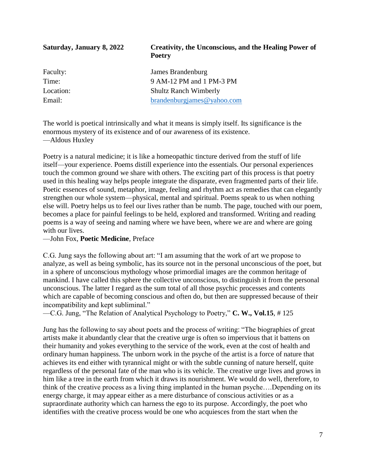# **Saturday, January 8, 2022 Creativity, the Unconscious, and the Healing Power of Poetry** Faculty: James Brandenburg Time: 9 AM-12 PM and 1 PM-3 PM Location: Shultz Ranch Wimberly Email: [brandenburgjames@yahoo.com](mailto:brandenburgjames@yahoo.com)

The world is poetical intrinsically and what it means is simply itself. Its significance is the enormous mystery of its existence and of our awareness of its existence. —Aldous Huxley

Poetry is a natural medicine; it is like a homeopathic tincture derived from the stuff of life itself—your experience. Poems distill experience into the essentials. Our personal experiences touch the common ground we share with others. The exciting part of this process is that poetry used in this healing way helps people integrate the disparate, even fragmented parts of their life. Poetic essences of sound, metaphor, image, feeling and rhythm act as remedies that can elegantly strengthen our whole system—physical, mental and spiritual. Poems speak to us when nothing else will. Poetry helps us to feel our lives rather than be numb. The page, touched with our poem, becomes a place for painful feelings to be held, explored and transformed. Writing and reading poems is a way of seeing and naming where we have been, where we are and where are going with our lives.

—John Fox, **Poetic Medicine**, Preface

C.G. Jung says the following about art: "I am assuming that the work of art we propose to analyze, as well as being symbolic, has its source not in the personal unconscious of the poet, but in a sphere of unconscious mythology whose primordial images are the common heritage of mankind. I have called this sphere the collective unconscious, to distinguish it from the personal unconscious. The latter I regard as the sum total of all those psychic processes and contents which are capable of becoming conscious and often do, but then are suppressed because of their incompatibility and kept subliminal."

—C.G. Jung, "The Relation of Analytical Psychology to Poetry," **C. W., Vol.15**, # 125

Jung has the following to say about poets and the process of writing: "The biographies of great artists make it abundantly clear that the creative urge is often so impervious that it battens on their humanity and yokes everything to the service of the work, even at the cost of health and ordinary human happiness. The unborn work in the psyche of the artist is a force of nature that achieves its end either with tyrannical might or with the subtle cunning of nature herself, quite regardless of the personal fate of the man who is its vehicle. The creative urge lives and grows in him like a tree in the earth from which it draws its nourishment. We would do well, therefore, to think of the creative process as a living thing implanted in the human psyche....Depending on its energy charge, it may appear either as a mere disturbance of conscious activities or as a supraordinate authority which can harness the ego to its purpose. Accordingly, the poet who identifies with the creative process would be one who acquiesces from the start when the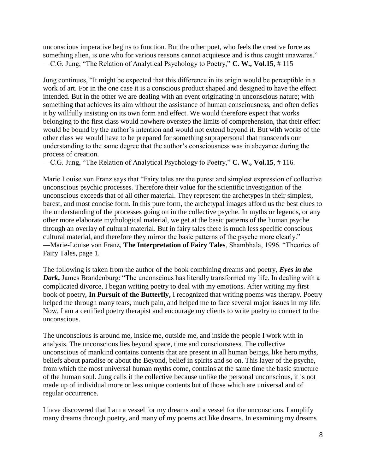unconscious imperative begins to function. But the other poet, who feels the creative force as something alien, is one who for various reasons cannot acquiesce and is thus caught unawares." —C.G. Jung, "The Relation of Analytical Psychology to Poetry," **C. W., Vol.15**, # 115

Jung continues, "It might be expected that this difference in its origin would be perceptible in a work of art. For in the one case it is a conscious product shaped and designed to have the effect intended. But in the other we are dealing with an event originating in unconscious nature; with something that achieves its aim without the assistance of human consciousness, and often defies it by willfully insisting on its own form and effect. We would therefore expect that works belonging to the first class would nowhere overstep the limits of comprehension, that their effect would be bound by the author's intention and would not extend beyond it. But with works of the other class we would have to be prepared for something suprapersonal that transcends our understanding to the same degree that the author's consciousness was in abeyance during the process of creation.

—C.G. Jung, "The Relation of Analytical Psychology to Poetry," **C. W., Vol.15**, # 116.

Marie Louise von Franz says that "Fairy tales are the purest and simplest expression of collective unconscious psychic processes. Therefore their value for the scientific investigation of the unconscious exceeds that of all other material. They represent the archetypes in their simplest, barest, and most concise form. In this pure form, the archetypal images afford us the best clues to the understanding of the processes going on in the collective psyche. In myths or legends, or any other more elaborate mythological material, we get at the basic patterns of the human psyche through an overlay of cultural material. But in fairy tales there is much less specific conscious cultural material, and therefore they mirror the basic patterns of the psyche more clearly." —Marie-Louise von Franz, **The Interpretation of Fairy Tales**, Shambhala, 1996. "Theories of Fairy Tales, page 1.

The following is taken from the author of the book combining dreams and poetry, *Eyes in the Dark***,** James Brandenburg: "The unconscious has literally transformed my life. In dealing with a complicated divorce, I began writing poetry to deal with my emotions. After writing my first book of poetry, **In Pursuit of the Butterfly,** I recognized that writing poems was therapy. Poetry helped me through many tears, much pain, and helped me to face several major issues in my life. Now, I am a certified poetry therapist and encourage my clients to write poetry to connect to the unconscious.

The unconscious is around me, inside me, outside me, and inside the people I work with in analysis. The unconscious lies beyond space, time and consciousness. The collective unconscious of mankind contains contents that are present in all human beings, like hero myths, beliefs about paradise or about the Beyond, belief in spirits and so on. This layer of the psyche, from which the most universal human myths come, contains at the same time the basic structure of the human soul. Jung calls it the collective because unlike the personal unconscious, it is not made up of individual more or less unique contents but of those which are universal and of regular occurrence.

I have discovered that I am a vessel for my dreams and a vessel for the unconscious. I amplify many dreams through poetry, and many of my poems act like dreams. In examining my dreams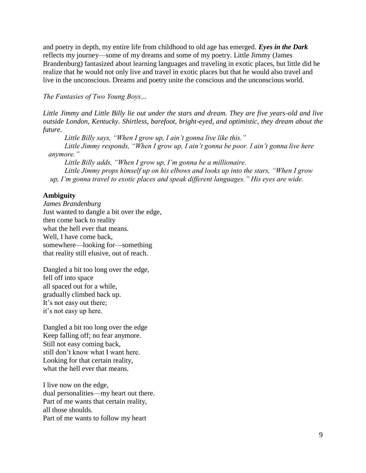and poetry in depth, my entire life from childhood to old age has emerged. *Eyes in the Dark*  reflects my journey—some of my dreams and some of my poetry. Little Jimmy (James Brandenburg) fantasized about learning languages and traveling in exotic places, but little did he realize that he would not only live and travel in exotic places but that he would also travel and live in the unconscious. Dreams and poetry unite the conscious and the unconscious world.

*The Fantasies of Two Young Boys…*

*Little Jimmy and Little Billy lie out under the stars and dream. They are five years-old and live outside London, Kentucky. Shirtless, barefoot, bright-eyed, and optimistic, they dream about the future.*

*Little Billy says, "When I grow up, I ain't gonna live like this." Little Jimmy responds, "When I grow up, I ain't gonna be poor. I ain't gonna live here anymore."*

*Little Billy adds, "When I grow up, I'm gonna be a millionaire. Little Jimmy props himself up on his elbows and looks up into the stars, "When I grow up, I'm gonna travel to exotic places and speak different languages." His eyes are wide.*

### **Ambiguity**

*James Brandenburg* Just wanted to dangle a bit over the edge, then come back to reality what the hell ever that means. Well, I have come back, somewhere—looking for—something that reality still elusive, out of reach.

Dangled a bit too long over the edge, fell off into space all spaced out for a while, gradually climbed back up. It's not easy out there; it's not easy up here.

Dangled a bit too long over the edge Keep falling off; no fear anymore. Still not easy coming back, still don't know what I want here. Looking for that certain reality, what the hell ever that means.

I live now on the edge, dual personalities—my heart out there. Part of me wants that certain reality, all those shoulds. Part of me wants to follow my heart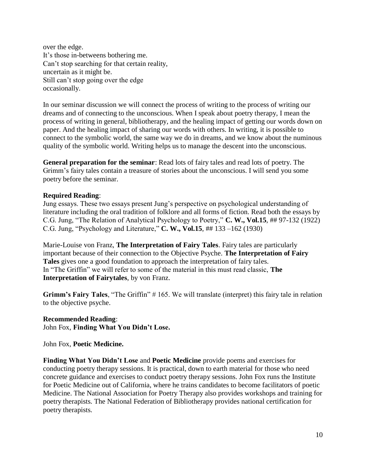over the edge. It's those in-betweens bothering me. Can't stop searching for that certain reality, uncertain as it might be. Still can't stop going over the edge occasionally.

In our seminar discussion we will connect the process of writing to the process of writing our dreams and of connecting to the unconscious. When I speak about poetry therapy, I mean the process of writing in general, bibliotherapy, and the healing impact of getting our words down on paper. And the healing impact of sharing our words with others. In writing, it is possible to connect to the symbolic world, the same way we do in dreams, and we know about the numinous quality of the symbolic world. Writing helps us to manage the descent into the unconscious.

**General preparation for the seminar**: Read lots of fairy tales and read lots of poetry. The Grimm's fairy tales contain a treasure of stories about the unconscious. I will send you some poetry before the seminar.

### **Required Reading**:

Jung essays. These two essays present Jung's perspective on psychological understanding of literature including the oral tradition of folklore and all forms of fiction. Read both the essays by C.G. Jung, "The Relation of Analytical Psychology to Poetry," **C. W., Vol.15**, ## 97-132 (1922) C.G. Jung, "Psychology and Literature," **C. W., Vol.15**, ## 133 –162 (1930)

Marie-Louise von Franz, **The Interpretation of Fairy Tales**. Fairy tales are particularly important because of their connection to the Objective Psyche. **The Interpretation of Fairy Tales** gives one a good foundation to approach the interpretation of fairy tales. In "The Griffin" we will refer to some of the material in this must read classic, **The Interpretation of Fairytales**, by von Franz.

**Grimm's Fairy Tales**, "The Griffin" # 165. We will translate (interpret) this fairy tale in relation to the objective psyche.

### **Recommended Reading**:

John Fox, **Finding What You Didn't Lose.**

John Fox, **Poetic Medicine.**

**Finding What You Didn't Lose** and **Poetic Medicine** provide poems and exercises for conducting poetry therapy sessions. It is practical, down to earth material for those who need concrete guidance and exercises to conduct poetry therapy sessions. John Fox runs the Institute for Poetic Medicine out of California, where he trains candidates to become facilitators of poetic Medicine. The National Association for Poetry Therapy also provides workshops and training for poetry therapists. The National Federation of Bibliotherapy provides national certification for poetry therapists.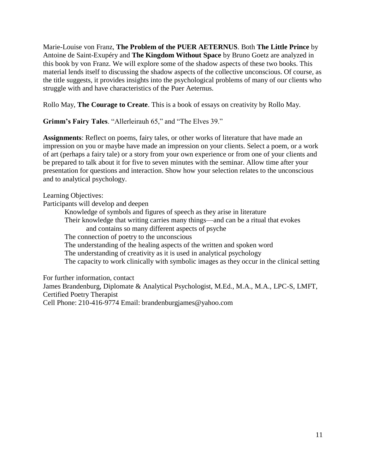Marie-Louise von Franz, **The Problem of the PUER AETERNUS**. Both **The Little Prince** by Antoine de Saint-Exupéry and **The Kingdom Without Space** by Bruno Goetz are analyzed in this book by von Franz. We will explore some of the shadow aspects of these two books. This material lends itself to discussing the shadow aspects of the collective unconscious. Of course, as the title suggests, it provides insights into the psychological problems of many of our clients who struggle with and have characteristics of the Puer Aeternus.

Rollo May, **The Courage to Create**. This is a book of essays on creativity by Rollo May.

**Grimm's Fairy Tales**. "Allerleirauh 65," and "The Elves 39."

**Assignments**: Reflect on poems, fairy tales, or other works of literature that have made an impression on you or maybe have made an impression on your clients. Select a poem, or a work of art (perhaps a fairy tale) or a story from your own experience or from one of your clients and be prepared to talk about it for five to seven minutes with the seminar. Allow time after your presentation for questions and interaction. Show how your selection relates to the unconscious and to analytical psychology.

### Learning Objectives:

Participants will develop and deepen

Knowledge of symbols and figures of speech as they arise in literature

Their knowledge that writing carries many things—and can be a ritual that evokes and contains so many different aspects of psyche

The connection of poetry to the unconscious

The understanding of the healing aspects of the written and spoken word

The understanding of creativity as it is used in analytical psychology

The capacity to work clinically with symbolic images as they occur in the clinical setting

For further information, contact

James Brandenburg, Diplomate & Analytical Psychologist, M.Ed., M.A., M.A., LPC-S, LMFT, Certified Poetry Therapist

Cell Phone: 210-416-9774 Email: brandenburgjames@yahoo.com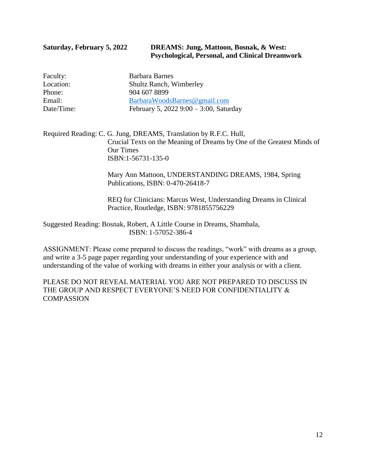#### **Saturday, February 5, 2022 DREAMS: Jung, Mattoon, Bosnak, & West: Psychological, Personal, and Clinical Dreamwork**

| Faculty:   |  |
|------------|--|
| Location:  |  |
| Phone:     |  |
| Email:     |  |
| Date/Time: |  |

Barbara Barnes Shultz Ranch, Wimberley 904 607 8899 [BarbaraWoodsBarnes@gmail.com](mailto:BarbaraWoodsBarnes@gmail.com)  $\text{Date/Time:}$  February 5, 2022 9:00 – 3:00, Saturday

### Required Reading: C. G. Jung, DREAMS, Translation by R.F.C. Hull, Crucial Texts on the Meaning of Dreams by One of the Greatest Minds of Our Times ISBN:1-56731-135-0

Mary Ann Mattoon, UNDERSTANDING DREAMS, 1984, Spring Publications, ISBN: 0-470-26418-7

REQ for Clinicians: Marcus West, Understanding Dreams in Clinical Practice, Routledge, ISBN: 9781855756229

Suggested Reading: Bosnak, Robert, A Little Course in Dreams, Shambala, ISBN: 1-57052-386-4

ASSIGNMENT: Please come prepared to discuss the readings, "work" with dreams as a group, and write a 3-5 page paper regarding your understanding of your experience with and understanding of the value of working with dreams in either your analysis or with a client.

PLEASE DO NOT REVEAL MATERIAL YOU ARE NOT PREPARED TO DISCUSS IN THE GROUP AND RESPECT EVERYONE'S NEED FOR CONFIDENTIALITY & **COMPASSION**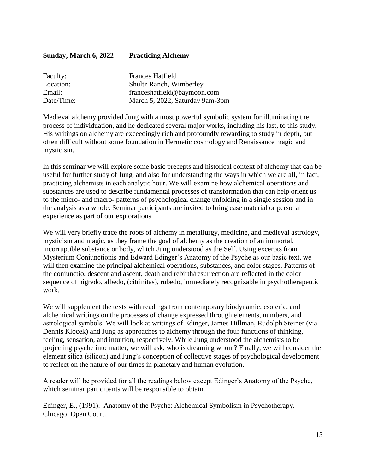# **Sunday, March 6, 2022 Practicing Alchemy**

| Faculty:   | <b>Frances Hatfield</b>         |
|------------|---------------------------------|
| Location:  | <b>Shultz Ranch, Wimberley</b>  |
| Email:     | franceshatfield@baymoon.com     |
| Date/Time: | March 5, 2022, Saturday 9am-3pm |

Medieval alchemy provided Jung with a most powerful symbolic system for illuminating the process of individuation, and he dedicated several major works, including his last, to this study. His writings on alchemy are exceedingly rich and profoundly rewarding to study in depth, but often difficult without some foundation in Hermetic cosmology and Renaissance magic and mysticism.

In this seminar we will explore some basic precepts and historical context of alchemy that can be useful for further study of Jung, and also for understanding the ways in which we are all, in fact, practicing alchemists in each analytic hour. We will examine how alchemical operations and substances are used to describe fundamental processes of transformation that can help orient us to the micro- and macro- patterns of psychological change unfolding in a single session and in the analysis as a whole. Seminar participants are invited to bring case material or personal experience as part of our explorations.

We will very briefly trace the roots of alchemy in metallurgy, medicine, and medieval astrology, mysticism and magic, as they frame the goal of alchemy as the creation of an immortal, incorruptible substance or body, which Jung understood as the Self. Using excerpts from Mysterium Coniunctionis and Edward Edinger's Anatomy of the Psyche as our basic text, we will then examine the principal alchemical operations, substances, and color stages. Patterns of the coniunctio, descent and ascent, death and rebirth/resurrection are reflected in the color sequence of nigredo, albedo, (citrinitas), rubedo, immediately recognizable in psychotherapeutic work.

We will supplement the texts with readings from contemporary biodynamic, esoteric, and alchemical writings on the processes of change expressed through elements, numbers, and astrological symbols. We will look at writings of Edinger, James Hillman, Rudolph Steiner (via Dennis Klocek) and Jung as approaches to alchemy through the four functions of thinking, feeling, sensation, and intuition, respectively. While Jung understood the alchemists to be projecting psyche into matter, we will ask, who is dreaming whom? Finally, we will consider the element silica (silicon) and Jung's conception of collective stages of psychological development to reflect on the nature of our times in planetary and human evolution.

A reader will be provided for all the readings below except Edinger's Anatomy of the Psyche, which seminar participants will be responsible to obtain.

Edinger, E., (1991). Anatomy of the Psyche: Alchemical Symbolism in Psychotherapy. Chicago: Open Court.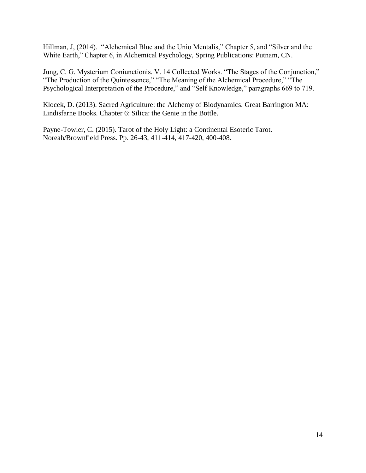Hillman, J, (2014). "Alchemical Blue and the Unio Mentalis," Chapter 5, and "Silver and the White Earth," Chapter 6, in Alchemical Psychology, Spring Publications: Putnam, CN.

Jung, C. G. Mysterium Coniunctionis. V. 14 Collected Works. "The Stages of the Conjunction," "The Production of the Quintessence," "The Meaning of the Alchemical Procedure," "The Psychological Interpretation of the Procedure," and "Self Knowledge," paragraphs 669 to 719.

Klocek, D. (2013). Sacred Agriculture: the Alchemy of Biodynamics. Great Barrington MA: Lindisfarne Books. Chapter 6: Silica: the Genie in the Bottle.

Payne-Towler, C. (2015). Tarot of the Holy Light: a Continental Esoteric Tarot. Noreah/Brownfield Press. Pp. 26-43, 411-414, 417-420, 400-408.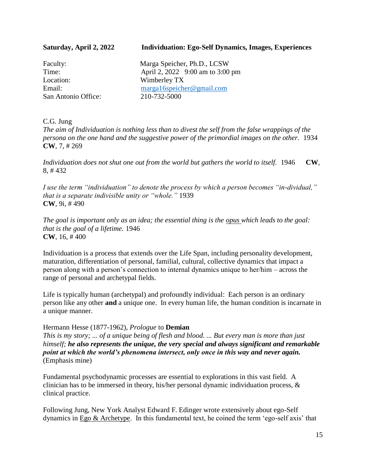#### **Saturday, April 2, 2022 Individuation: Ego-Self Dynamics, Images, Experiences**

Location: Wimberley TX San Antonio Office: 210-732-5000

Faculty: Marga Speicher, Ph.D., LCSW Time: April 2, 2022 9:00 am to 3:00 pm Email: [marga16speicher@gmail.com](mailto:marga16speicher@gmail.com)

C.G. Jung

*The aim of Individuation is nothing less than to divest the self from the false wrappings of the persona on the one hand and the suggestive power of the primordial images on the other.* 1934 **CW**, 7, # 269

*Individuation does not shut one out from the world but gathers the world to itself.* 1946 **CW**, 8, # 432

*I use the term "individuation" to denote the process by which a person becomes "in-dividual," that is a separate indivisible unity or "whole."* 1939 **CW**, 9i, # 490

*The goal is important only as an idea; the essential thing is the opus which leads to the goal: that is the goal of a lifetime.* 1946 **CW**, 16, # 400

Individuation is a process that extends over the Life Span, including personality development, maturation, differentiation of personal, familial, cultural, collective dynamics that impact a person along with a person's connection to internal dynamics unique to her/him – across the range of personal and archetypal fields.

Life is typically human (archetypal) and profoundly individual: Each person is an ordinary person like any other **and** a unique one. In every human life, the human condition is incarnate in a unique manner.

Hermann Hesse (1877-1962), *Prologue* to **Demian**

*This is my story; ... of a unique being of flesh and blood. ... But every man is more than just himself; he also represents the unique, the very special and always significant and remarkable point at which the world's phenomena intersect, only once in this way and never again.* (Emphasis mine)

Fundamental psychodynamic processes are essential to explorations in this vast field. A clinician has to be immersed in theory, his/her personal dynamic individuation process, & clinical practice.

Following Jung, New York Analyst Edward F. Edinger wrote extensively about ego-Self dynamics in Ego & Archetype. In this fundamental text, he coined the term 'ego-self axis' that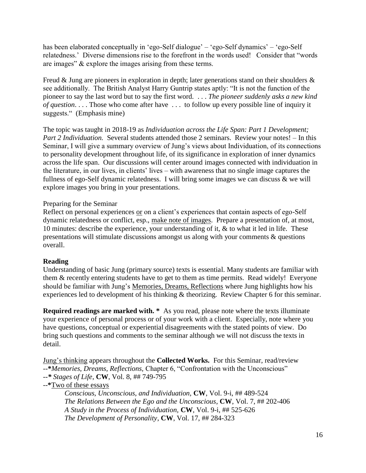has been elaborated conceptually in 'ego-Self dialogue' – 'ego-Self dynamics' – 'ego-Self relatedness.' Diverse dimensions rise to the forefront in the words used! Consider that "words are images" & explore the images arising from these terms.

Freud & Jung are pioneers in exploration in depth; later generations stand on their shoulders  $\&$ see additionally. The British Analyst Harry Guntrip states aptly: "It is not the function of the pioneer to say the last word but to say the first word. . . . *The pioneer suddenly asks a new kind of question*. . . . Those who come after have . . . to follow up every possible line of inquiry it suggests." (Emphasis mine)

The topic was taught in 2018-19 as *Individuation across the Life Span: Part 1 Development; Part 2 Individuation.* Several students attended those 2 seminars. Review your notes! – In this Seminar, I will give a summary overview of Jung's views about Individuation, of its connections to personality development throughout life, of its significance in exploration of inner dynamics across the life span. Our discussions will center around images connected with individuation in the literature, in our lives, in clients' lives – with awareness that no single image captures the fullness of ego-Self dynamic relatedness. I will bring some images we can discuss & we will explore images you bring in your presentations.

# Preparing for the Seminar

Reflect on personal experiences or on a client's experiences that contain aspects of ego-Self dynamic relatedness or conflict, esp., make note of images. Prepare a presentation of, at most, 10 minutes: describe the experience, your understanding of it, & to what it led in life. These presentations will stimulate discussions amongst us along with your comments & questions overall.

### **Reading**

Understanding of basic Jung (primary source) texts is essential. Many students are familiar with them & recently entering students have to get to them as time permits. Read widely! Everyone should be familiar with Jung's Memories, Dreams, Reflections where Jung highlights how his experiences led to development of his thinking & theorizing. Review Chapter 6 for this seminar.

**Required readings are marked with. \*** As you read, please note where the texts illuminate your experience of personal process or of your work with a client. Especially, note where you have questions, conceptual or experiential disagreements with the stated points of view. Do bring such questions and comments to the seminar although we will not discuss the texts in detail.

Jung's thinking appears throughout the **Collected Works.** For this Seminar, read/review *--***\****Memories, Dreams, Reflections,* Chapter 6, "Confrontation with the Unconscious" *--\* Stages of Life*, **CW**, Vol. 8, ## 749-795 --**\***Two of these essays *Conscious, Unconscious, and Individuation,* **CW**, Vol. 9-i, ## 489-524

*The Relations Between the Ego and the Unconscious*, **CW**, Vol. 7, ## 202-406 *A Study in the Process of Individuation,* **CW**, Vol. 9-i, ## 525-626 *The Development of Personality*, **CW**, Vol. 17, ## 284-323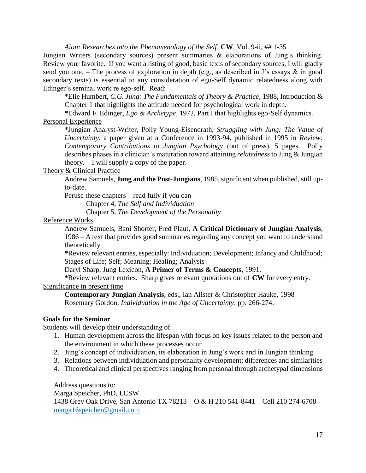*Aion: Researches into the Phenomenology of the Self*, **CW**, Vol. 9-ii, ## 1-35

Jungian Writers (secondary sources) present summaries & elaborations of Jung's thinking. Review your favorite. If you want a listing of good, basic texts of secondary sources, I will gladly send you one. – The process of exploration in depth (e.g., as described in J's essays  $\&$  in good secondary texts) is essential to any consideration of ego-Self dynamic relatedness along with Edinger's seminal work re ego-self. Read:

**\***Elie Humbert, *C.G. Jung: The Fundamentals of Theory & Practice*, 1988, Introduction & Chapter 1 that highlights the attitude needed for psychological work in depth.

**\***Edward F. Edinger, *Ego & Archetype*, 1972, Part I that highlights ego-Self dynamics.

# Personal Experience

**\***Jungian Analyst-Writer, Polly Young-Eisendrath, *Struggling with Jung: The Value of Uncertainty*, a paper given at a Conference in 1993-94, published in 1995 in *Review: Contemporary Contributions to Jungian Psychology* (out of press), 5 pages. Polly describes phases in a clinician's maturation toward attaining *relatedness* to Jung & Jungian theory. – I will supply a copy of the paper.

# Theory & Clinical Practice

Andrew Samuels, **Jung and the Post-Jungians**, 1985, significant when published, still upto-date.

Peruse these chapters – read fully if you can

Chapter 4, *The Self and Individuation* Chapter 5, *The Development of the Personality*

#### Reference Works

Andrew Samuels, Bani Shorter, Fred Plaut, **A Critical Dictionary of Jungian Analysis**, 1986 – A text that provides good summaries regarding any concept you want to understand theoretically

**\***Review relevant entries, especially: Individuation; Development; Infancy and Childhood; Stages of Life; Self; Meaning; Healing; Analysis

Daryl Sharp, Jung Lexicon, **A Primer of Terms & Concepts**, 1991.

**\***Review relevant entries. Sharp gives relevant quotations out of **CW** for every entry. Significance in present time

**Contemporary Jungian Analysis**, eds., Ian Alister & Christopher Hauke, 1998 Rosemary Gordon, *Individuation in the Age of Uncertainty*, pp. 266-274.

### **Goals for the Seminar**

Students will develop their understanding of

- 1. Human development across the lifespan with focus on key issues related to the person and the environment in which these processes occur
- 2. Jung's concept of individuation, its elaboration in Jung's work and in Jungian thinking
- 3. Relations between individuation and personality development: differences and similarities
- 4. Theoretical and clinical perspectives ranging from personal through archetypal dimensions

Address questions to: Marga Speicher, PhD, LCSW 1438 Grey Oak Drive, San Antonio TX 78213 – O & H 210 541-8441—Cell 210 274-6708 [marga16speicher@gmail.com](mailto:marga16speicher@gmail.com)